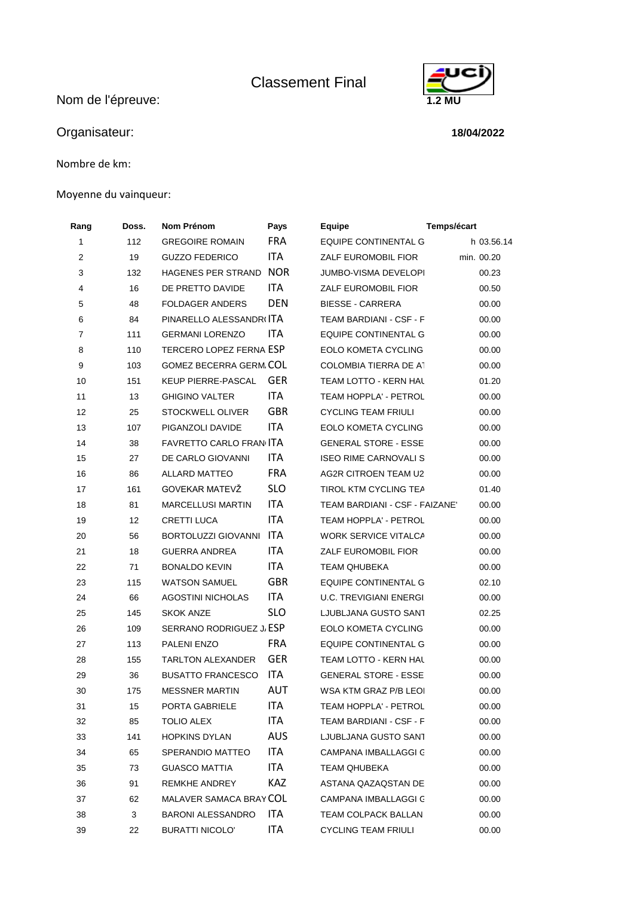Classement Final

Nom de l'épreuve: **1.2 MU** 



Nombre de km:

## Moyenne du vainqueur:



## **18/04/2022**

| Rang           | Doss. | Nom Prénom                     | Pays       | Equipe                         | Temps/écart |
|----------------|-------|--------------------------------|------------|--------------------------------|-------------|
| 1              | 112   | <b>GREGOIRE ROMAIN</b>         | <b>FRA</b> | EQUIPE CONTINENTAL G           | h 03.56.14  |
| 2              | 19    | <b>GUZZO FEDERICO</b>          | ITA        | <b>ZALF EUROMOBIL FIOR</b>     | min. 00.20  |
| 3              | 132   | <b>HAGENES PER STRAND</b>      | <b>NOR</b> | JUMBO-VISMA DEVELOPI           | 00.23       |
| 4              | 16    | DE PRETTO DAVIDE               | ITA        | ZALF EUROMOBIL FIOR            | 00.50       |
| 5              | 48    | <b>FOLDAGER ANDERS</b>         | <b>DEN</b> | <b>BIESSE - CARRERA</b>        | 00.00       |
| 6              | 84    | PINARELLO ALESSANDRI ITA       |            | TEAM BARDIANI - CSF - F        | 00.00       |
| $\overline{7}$ | 111   | <b>GERMANI LORENZO</b>         | ITA        | <b>EQUIPE CONTINENTAL G</b>    | 00.00       |
| 8              | 110   | <b>TERCERO LOPEZ FERNA ESP</b> |            | EOLO KOMETA CYCLING            | 00.00       |
| 9              | 103   | <b>GOMEZ BECERRA GERM COL</b>  |            | COLOMBIA TIERRA DE A1          | 00.00       |
| 10             | 151   | KEUP PIERRE-PASCAL             | <b>GER</b> | TEAM LOTTO - KERN HAL          | 01.20       |
| 11             | 13    | <b>GHIGINO VALTER</b>          | ITA        | TEAM HOPPLA' - PETROL          | 00.00       |
| 12             | 25    | STOCKWELL OLIVER               | <b>GBR</b> | <b>CYCLING TEAM FRIULI</b>     | 00.00       |
| 13             | 107   | PIGANZOLI DAVIDE               | <b>ITA</b> | EOLO KOMETA CYCLING            | 00.00       |
| 14             | 38    | FAVRETTO CARLO FRAN ITA        |            | <b>GENERAL STORE - ESSE</b>    | 00.00       |
| 15             | 27    | DE CARLO GIOVANNI              | ITA.       | <b>ISEO RIME CARNOVALI S</b>   | 00.00       |
| 16             | 86    | ALLARD MATTEO                  | <b>FRA</b> | AG2R CITROEN TEAM U2           | 00.00       |
| 17             | 161   | GOVEKAR MATEVŽ                 | <b>SLO</b> | TIROL KTM CYCLING TEA          | 01.40       |
| 18             | 81    | <b>MARCELLUSI MARTIN</b>       | ITA        | TEAM BARDIANI - CSF - FAIZANE' | 00.00       |
| 19             | 12    | <b>CRETTI LUCA</b>             | <b>ITA</b> | TEAM HOPPLA' - PETROL          | 00.00       |
| 20             | 56    | BORTOLUZZI GIOVANNI ITA        |            | WORK SERVICE VITALCA           | 00.00       |
| 21             | 18    | <b>GUERRA ANDREA</b>           | ITA        | ZALF EUROMOBIL FIOR            | 00.00       |
| 22             | 71    | <b>BONALDO KEVIN</b>           | ITA        | <b>TEAM QHUBEKA</b>            | 00.00       |
| 23             | 115   | <b>WATSON SAMUEL</b>           | <b>GBR</b> | EQUIPE CONTINENTAL G           | 02.10       |
| 24             | 66    | <b>AGOSTINI NICHOLAS</b>       | ITA        | <b>U.C. TREVIGIANI ENERGI</b>  | 00.00       |
| 25             | 145   | <b>SKOK ANZE</b>               | <b>SLO</b> | LJUBLJANA GUSTO SANT           | 02.25       |
| 26             | 109   | SERRANO RODRIGUEZ J. ESP       |            | EOLO KOMETA CYCLING            | 00.00       |
| 27             | 113   | PALENI ENZO                    | <b>FRA</b> | EQUIPE CONTINENTAL G           | 00.00       |
| 28             | 155   | TARLTON ALEXANDER              | <b>GER</b> | TEAM LOTTO - KERN HAL          | 00.00       |
| 29             | 36    | <b>BUSATTO FRANCESCO</b>       | <b>ITA</b> | <b>GENERAL STORE - ESSE</b>    | 00.00       |
| 30             | 175   | <b>MESSNER MARTIN</b>          | AUT        | WSA KTM GRAZ P/B LEOI          | 00.00       |
| 31             | 15    | PORTA GABRIELE                 | ITA        | <b>TEAM HOPPLA' - PETROL</b>   | 00.00       |
| 32             | 85    | <b>TOLIO ALEX</b>              | ITA        | TEAM BARDIANI - CSF - F        | 00.00       |
| 33             | 141   | <b>HOPKINS DYLAN</b>           | <b>AUS</b> | LJUBLJANA GUSTO SANT           | 00.00       |
| 34             | 65    | SPERANDIO MATTEO               | ITA        | CAMPANA IMBALLAGGI C           | 00.00       |
| 35             | 73    | <b>GUASCO MATTIA</b>           | ITA        | <b>TEAM QHUBEKA</b>            | 00.00       |
| 36             | 91    | <b>REMKHE ANDREY</b>           | KAZ        | ASTANA QAZAQSTAN DE            | 00.00       |
| 37             | 62    | MALAVER SAMACA BRAY COL        |            | CAMPANA IMBALLAGGI C           | 00.00       |
| 38             | 3     | <b>BARONI ALESSANDRO</b>       | ITA        | TEAM COLPACK BALLAN            | 00.00       |
| 39             | 22    | <b>BURATTI NICOLO'</b>         | ITA        | <b>CYCLING TEAM FRIULI</b>     | 00.00       |

| <b>Equipe</b>                  | Temps/écart |              |
|--------------------------------|-------------|--------------|
| EQUIPE CONTINENTAL G           |             | h 03.56.14   |
| ZALF EUROMOBIL FIOR            |             | min. 00.20   |
| JUMBO-VISMA DEVELOPI           |             | 00.23        |
| <b>ZALF EUROMOBIL FIOR</b>     |             | 00.50        |
| <b>BIESSE - CARRERA</b>        |             | 00.00        |
| TEAM BARDIANI - CSF - F        |             | 00.00        |
| <b>EQUIPE CONTINENTAL G</b>    |             | 00.00        |
| EOLO KOMETA CYCLING            |             | 00.00        |
| <b>COLOMBIA TIERRA DE A1</b>   |             | 00.00        |
| TEAM LOTTO - KERN HAL          |             | 01.20        |
| TEAM HOPPLA' - PETROL          |             | 00.00        |
| CYCLING TEAM FRIULI            |             | 00.00        |
| EOLO KOMETA CYCLING            |             | 00.00        |
| <b>GENERAL STORE - ESSE</b>    |             | 00.00        |
| ISEO RIME CARNOVALI S          |             | 00.00        |
| <b>AG2R CITROEN TEAM U2</b>    |             | 00.00        |
| TIROL KTM CYCLING TEA          |             | 01.40        |
| TEAM BARDIANI - CSF - FAIZANE' |             | 00.00        |
| TEAM HOPPLA' - PETROL          |             | 00.00        |
| WORK SERVICE VITALCA           |             | 00.00        |
| ZALF EUROMOBIL FIOR            |             | 00.00        |
| <b>TEAM QHUBEKA</b>            |             | 00.00        |
| <b>EQUIPE CONTINENTAL G</b>    |             | 02.10        |
| <b>U.C. TREVIGIANI ENERGI</b>  |             | 00.00        |
| LJUBLJANA GUSTO SANT           |             | 02.25        |
| EOLO KOMETA CYCLING            |             | 00.00        |
| EQUIPE CONTINENTAL G           |             | 00.00        |
| TFAM I OTTO - KFRN HAI         |             | 00.00        |
| <b>GENERAL STORE - ESSE</b>    |             | 00.00        |
| WSA KTM GRAZ P/B LEOI          |             | 00.00        |
| <b>TEAM HOPPLA' - PETROL</b>   |             | 00.00        |
| TEAM BARDIANI - CSF - F        |             | 00.00        |
| LJUBLJANA GUSTO SANT           |             | 00.00        |
| CAMPANA IMBALLAGGI C           |             | 00.00        |
| TEAM QHUBEKA                   |             | 00.00        |
| ASTANA QAZAQSTAN DE            |             | 00.00        |
| CAMPANA IMBALLAGGI C           |             | 00.00        |
| TEAM COLPACK BALLAN            |             | 00.00        |
| CVCLINC TEAM COULL             |             | <u>nn nn</u> |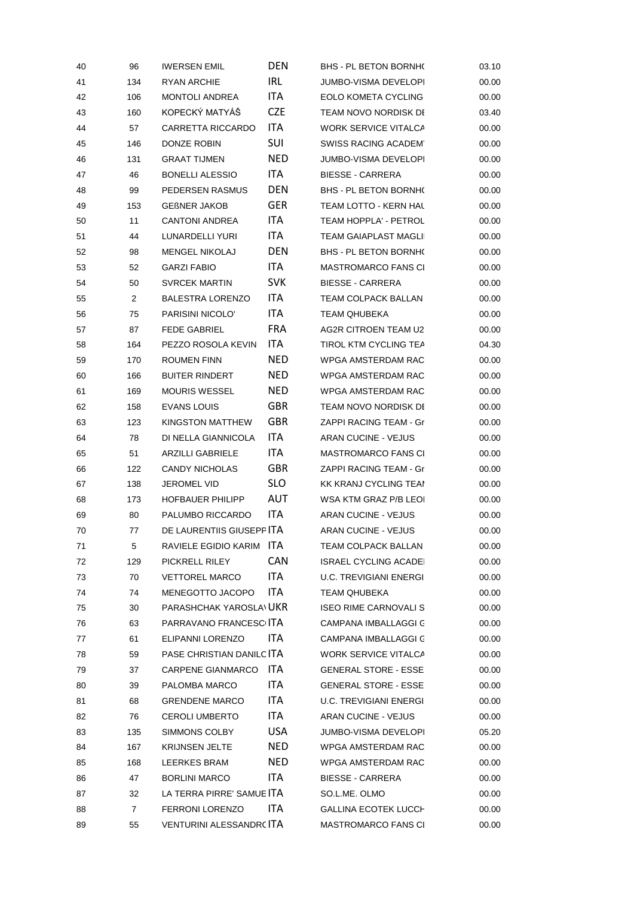| 40 | 96             | <b>IWERSEN EMIL</b>            | <b>DEN</b> | <b>BHS - PL BETON BORNHO</b>  | 03.10 |
|----|----------------|--------------------------------|------------|-------------------------------|-------|
| 41 | 134            | RYAN ARCHIE                    | IRL        | JUMBO-VISMA DEVELOPI          | 00.00 |
| 42 | 106            | <b>MONTOLI ANDREA</b>          | ITA.       | <b>EOLO KOMETA CYCLING</b>    | 00.00 |
| 43 | 160            | KOPECKÝ MATYÁŠ                 | <b>CZE</b> | TEAM NOVO NORDISK DI          | 03.40 |
| 44 | 57             | CARRETTA RICCARDO              | ITA        | <b>WORK SERVICE VITALCA</b>   | 00.00 |
| 45 | 146            | DONZE ROBIN                    | SUI        | SWISS RACING ACADEM'          | 00.00 |
| 46 | 131            | <b>GRAAT TIJMEN</b>            | <b>NED</b> | JUMBO-VISMA DEVELOPI          | 00.00 |
| 47 | 46             | <b>BONELLI ALESSIO</b>         | ITA.       | <b>BIESSE - CARRERA</b>       | 00.00 |
| 48 | 99             | PEDERSEN RASMUS                | <b>DEN</b> | <b>BHS - PL BETON BORNHO</b>  | 00.00 |
| 49 | 153            | <b>GEBNER JAKOB</b>            | <b>GER</b> | TEAM LOTTO - KERN HAL         | 00.00 |
| 50 | 11             | <b>CANTONI ANDREA</b>          | ITA.       | <b>TEAM HOPPLA' - PETROL</b>  | 00.00 |
| 51 | 44             | LUNARDELLI YURI                | ITA        | <b>TEAM GAIAPLAST MAGLII</b>  | 00.00 |
| 52 | 98             | <b>MENGEL NIKOLAJ</b>          | <b>DEN</b> | <b>BHS - PL BETON BORNH(</b>  | 00.00 |
| 53 | 52             | <b>GARZI FABIO</b>             | ITA        | <b>MASTROMARCO FANS CI</b>    | 00.00 |
| 54 | 50             | <b>SVRCEK MARTIN</b>           | <b>SVK</b> | <b>BIESSE - CARRERA</b>       | 00.00 |
| 55 | $\overline{2}$ | <b>BALESTRA LORENZO</b>        | ITA.       | TEAM COLPACK BALLAN           | 00.00 |
| 56 | 75             | PARISINI NICOLO'               | ITA        | <b>TEAM QHUBEKA</b>           | 00.00 |
| 57 | 87             | FEDE GABRIEL                   | <b>FRA</b> | AG2R CITROEN TEAM U2          | 00.00 |
| 58 | 164            | PEZZO ROSOLA KEVIN             | ITA        | <b>TIROL KTM CYCLING TEA</b>  | 04.30 |
| 59 | 170            | <b>ROUMEN FINN</b>             | <b>NED</b> | WPGA AMSTERDAM RAC            | 00.00 |
| 60 | 166            | <b>BUITER RINDERT</b>          | <b>NED</b> | WPGA AMSTERDAM RAC            | 00.00 |
| 61 | 169            | <b>MOURIS WESSEL</b>           | <b>NED</b> | WPGA AMSTERDAM RAC            | 00.00 |
| 62 | 158            | EVANS LOUIS                    | <b>GBR</b> | TEAM NOVO NORDISK DI          | 00.00 |
| 63 | 123            | KINGSTON MATTHEW               | <b>GBR</b> | ZAPPI RACING TEAM - Gr        | 00.00 |
| 64 | 78             | DI NELLA GIANNICOLA            | ITA.       | ARAN CUCINE - VEJUS           | 00.00 |
| 65 | 51             | <b>ARZILLI GABRIELE</b>        | ITA        | <b>MASTROMARCO FANS CI</b>    | 00.00 |
| 66 | 122            | <b>CANDY NICHOLAS</b>          | <b>GBR</b> | ZAPPI RACING TEAM - Gr        | 00.00 |
| 67 | 138            | JEROMEL VID                    | <b>SLO</b> | KK KRANJ CYCLING TEAI         | 00.00 |
| 68 | 173            | <b>HOFBAUER PHILIPP</b>        | AUT        | WSA KTM GRAZ P/B LEOI         | 00.00 |
| 69 | 80             | PALUMBO RICCARDO               | ITA        | ARAN CUCINE - VEJUS           | 00.00 |
| 70 | 77             | DE LAURENTIIS GIUSEPF ITA      |            | <b>ARAN CUCINE - VEJUS</b>    | 00.00 |
| 71 | 5              | RAVIELE EGIDIO KARIM ITA       |            | TEAM COLPACK BALLAN           | 00.00 |
| 72 | 129            | PICKRELL RILEY                 | <b>CAN</b> | <b>ISRAEL CYCLING ACADEI</b>  | 00.00 |
| 73 | 70             | <b>VETTOREL MARCO</b>          | ITA        | <b>U.C. TREVIGIANI ENERGI</b> | 00.00 |
| 74 | 74             | MENEGOTTO JACOPO               | ITA        | <b>TEAM QHUBEKA</b>           | 00.00 |
| 75 | 30             | <b>PARASHCHAK YAROSLA UKR</b>  |            | <b>ISEO RIME CARNOVALI S</b>  | 00.00 |
| 76 | 63             | PARRAVANO FRANCESC ITA         |            | CAMPANA IMBALLAGGI C          | 00.00 |
| 77 | 61             | ELIPANNI LORENZO               | ITA.       | CAMPANA IMBALLAGGI C          | 00.00 |
| 78 | 59             | PASE CHRISTIAN DANILC ITA      |            | <b>WORK SERVICE VITALCA</b>   | 00.00 |
| 79 | 37             | CARPENE GIANMARCO              | ITA        | <b>GENERAL STORE - ESSE</b>   | 00.00 |
| 80 | 39             | PALOMBA MARCO                  | ITA        | <b>GENERAL STORE - ESSE</b>   | 00.00 |
| 81 | 68             | <b>GRENDENE MARCO</b>          | ITA        | <b>U.C. TREVIGIANI ENERGI</b> | 00.00 |
| 82 | 76             | <b>CEROLI UMBERTO</b>          | ITA        | ARAN CUCINE - VEJUS           | 00.00 |
| 83 | 135            | SIMMONS COLBY                  | USA        | JUMBO-VISMA DEVELOPI          | 05.20 |
| 84 | 167            | <b>KRIJNSEN JELTE</b>          | <b>NED</b> | WPGA AMSTERDAM RAC            | 00.00 |
| 85 | 168            | LEERKES BRAM                   | <b>NED</b> | WPGA AMSTERDAM RAC            | 00.00 |
| 86 | 47             | <b>BORLINI MARCO</b>           | ITA        | BIESSE - CARRERA              | 00.00 |
| 87 | 32             | LA TERRA PIRRE' SAMUE ITA      |            | SO.L.ME. OLMO                 | 00.00 |
| 88 | $\overline{7}$ | FERRONI LORENZO                | ITA        | <b>GALLINA ECOTEK LUCCH</b>   | 00.00 |
| 89 | 55             | <b>VENTURINI ALESSANDR(ITA</b> |            | MASTROMARCO FANS CI           | 00.00 |
|    |                |                                |            |                               |       |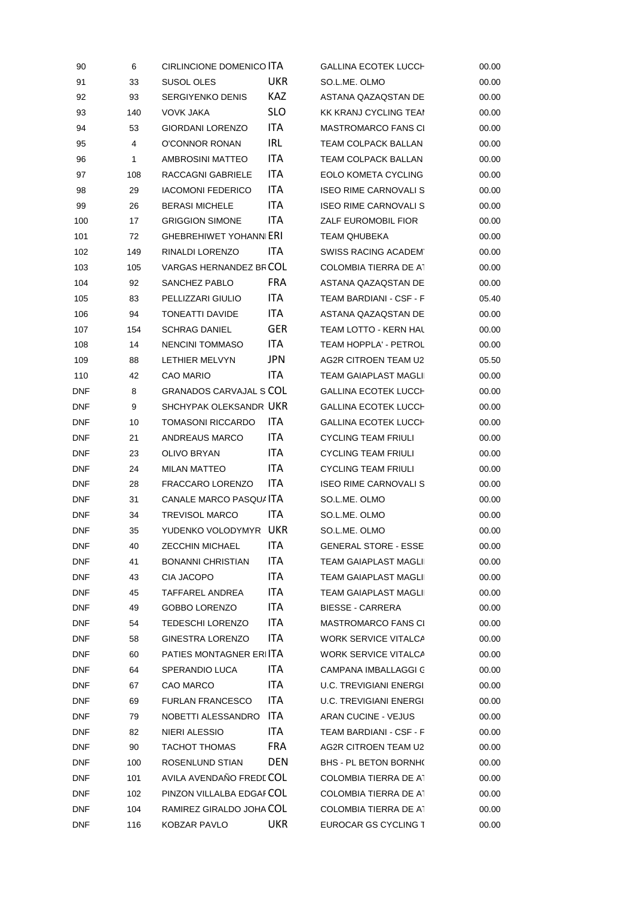| 90         | 6            | CIRLINCIONE DOMENICO ITA       |            | <b>GALLINA ECOTEK LUCCH</b>   | 00.00 |
|------------|--------------|--------------------------------|------------|-------------------------------|-------|
| 91         | 33           | SUSOL OLES                     | <b>UKR</b> | SO.L.ME. OLMO                 | 00.00 |
| 92         | 93           | <b>SERGIYENKO DENIS</b>        | KAZ        | ASTANA QAZAQSTAN DE           | 00.00 |
| 93         | 140          | VOVK JAKA                      | <b>SLO</b> | KK KRANJ CYCLING TEAI         | 00.00 |
| 94         | 53           | <b>GIORDANI LORENZO</b>        | ITA        | <b>MASTROMARCO FANS CI</b>    | 00.00 |
| 95         | 4            | O'CONNOR RONAN                 | IRL        | TEAM COLPACK BALLAN           | 00.00 |
| 96         | $\mathbf{1}$ | AMBROSINI MATTEO               | ITA        | TEAM COLPACK BALLAN           | 00.00 |
| 97         | 108          | RACCAGNI GABRIELE              | ITA        | EOLO KOMETA CYCLING           | 00.00 |
| 98         | 29           | <b>IACOMONI FEDERICO</b>       | ITA.       | <b>ISEO RIME CARNOVALI S</b>  | 00.00 |
| 99         | 26           | <b>BERASI MICHELE</b>          | ITA        | <b>ISEO RIME CARNOVALI S</b>  | 00.00 |
| 100        | 17           | <b>GRIGGION SIMONE</b>         | ITA        | ZALF EUROMOBIL FIOR           | 00.00 |
| 101        | 72           | <b>GHEBREHIWET YOHANN ERI</b>  |            | TEAM QHUBEKA                  | 00.00 |
| 102        | 149          | RINALDI LORENZO                | ITA        | SWISS RACING ACADEM'          | 00.00 |
| 103        | 105          | VARGAS HERNANDEZ BF COL        |            | COLOMBIA TIERRA DE A1         | 00.00 |
| 104        | 92           | SANCHEZ PABLO                  | <b>FRA</b> | ASTANA QAZAQSTAN DE           | 00.00 |
| 105        | 83           | PELLIZZARI GIULIO              | ITA        | TEAM BARDIANI - CSF - F       | 05.40 |
| 106        | 94           | TONEATTI DAVIDE                | ITA        | ASTANA QAZAQSTAN DE           | 00.00 |
| 107        | 154          | <b>SCHRAG DANIEL</b>           | <b>GER</b> | TEAM LOTTO - KERN HAL         | 00.00 |
| 108        | 14           | NENCINI TOMMASO                | ITA        | TEAM HOPPLA' - PETROL         | 00.00 |
| 109        | 88           | LETHIER MELVYN                 | JPN.       | AG2R CITROEN TEAM U2          | 05.50 |
| 110        | 42           | <b>CAO MARIO</b>               | ITA.       | <b>TEAM GAIAPLAST MAGLII</b>  | 00.00 |
| <b>DNF</b> | 8            | <b>GRANADOS CARVAJAL S COL</b> |            | <b>GALLINA ECOTEK LUCCH</b>   | 00.00 |
| DNF        | 9            | SHCHYPAK OLEKSANDR UKR         |            | <b>GALLINA ECOTEK LUCCH</b>   | 00.00 |
| DNF        | 10           | <b>TOMASONI RICCARDO</b>       | ITA.       | <b>GALLINA ECOTEK LUCCH</b>   | 00.00 |
| DNF        | 21           | ANDREAUS MARCO                 | ITA        | <b>CYCLING TEAM FRIULI</b>    | 00.00 |
| DNF        | 23           | OLIVO BRYAN                    | ITA        | CYCLING TEAM FRIULI           | 00.00 |
| DNF        | 24           | <b>MILAN MATTEO</b>            | ITA        | <b>CYCLING TEAM FRIULI</b>    | 00.00 |
| DNF        | 28           | FRACCARO LORENZO               | ITA.       | <b>ISEO RIME CARNOVALI S</b>  | 00.00 |
| DNF        | 31           | CANALE MARCO PASQU/ ITA        |            | SO.L.ME. OLMO                 | 00.00 |
| DNF        | 34           | <b>TREVISOL MARCO</b>          | ITA.       | SO.L.ME. OLMO                 | 00.00 |
| DNF        | 35           | YUDENKO VOLODYMYR UKR          |            | SO.L.ME. OLMO                 | 00.00 |
| DNF        | 40           | <b>ZECCHIN MICHAEL</b>         | ITA        | <b>GENERAL STORE - ESSE</b>   | 00.00 |
| <b>DNF</b> | 41           | <b>BONANNI CHRISTIAN</b>       | ITA        | TEAM GAIAPLAST MAGLII         | 00.00 |
| DNF        | 43           | CIA JACOPO                     | ITA        | TEAM GAIAPLAST MAGLII         | 00.00 |
| DNF        | 45           | TAFFAREL ANDREA                | ITA        | TEAM GAIAPLAST MAGLII         | 00.00 |
| <b>DNF</b> | 49           | GOBBO LORENZO                  | ITA        | <b>BIESSE - CARRERA</b>       | 00.00 |
| <b>DNF</b> | 54           | <b>TEDESCHI LORENZO</b>        | ITA        | <b>MASTROMARCO FANS CI</b>    | 00.00 |
| DNF        | 58           | GINESTRA LORENZO               | ITA        | WORK SERVICE VITALCA          | 00.00 |
| DNF        | 60           | PATIES MONTAGNER ER ITA        |            | WORK SERVICE VITALCA          | 00.00 |
| DNF        | 64           | SPERANDIO LUCA                 | ITA        | CAMPANA IMBALLAGGI C          | 00.00 |
| DNF        | 67           | CAO MARCO                      | ITA        | <b>U.C. TREVIGIANI ENERGI</b> | 00.00 |
| DNF        | 69           | <b>FURLAN FRANCESCO</b>        | ITA        | <b>U.C. TREVIGIANI ENERGI</b> | 00.00 |
| DNF        | 79           | NOBETTI ALESSANDRO             | ITA        | ARAN CUCINE - VEJUS           | 00.00 |
| DNF        | 82           | NIERI ALESSIO                  | ITA        | TEAM BARDIANI - CSF - F       | 00.00 |
| DNF        | 90           | <b>TACHOT THOMAS</b>           | <b>FRA</b> | AG2R CITROEN TEAM U2          | 00.00 |
| <b>DNF</b> | 100          | ROSENLUND STIAN                | <b>DEN</b> | BHS - PL BETON BORNHO         | 00.00 |
| DNF        | 101          | AVILA AVENDAÑO FREDI COL       |            | COLOMBIA TIERRA DE A1         | 00.00 |
| DNF        | 102          | PINZON VILLALBA EDGAF COL      |            | COLOMBIA TIERRA DE A1         | 00.00 |
| DNF        | 104          | RAMIREZ GIRALDO JOHA COL       |            | COLOMBIA TIERRA DE A1         | 00.00 |
| DNF        | 116          | KOBZAR PAVLO                   | <b>UKR</b> | EUROCAR GS CYCLING T          | 00.00 |